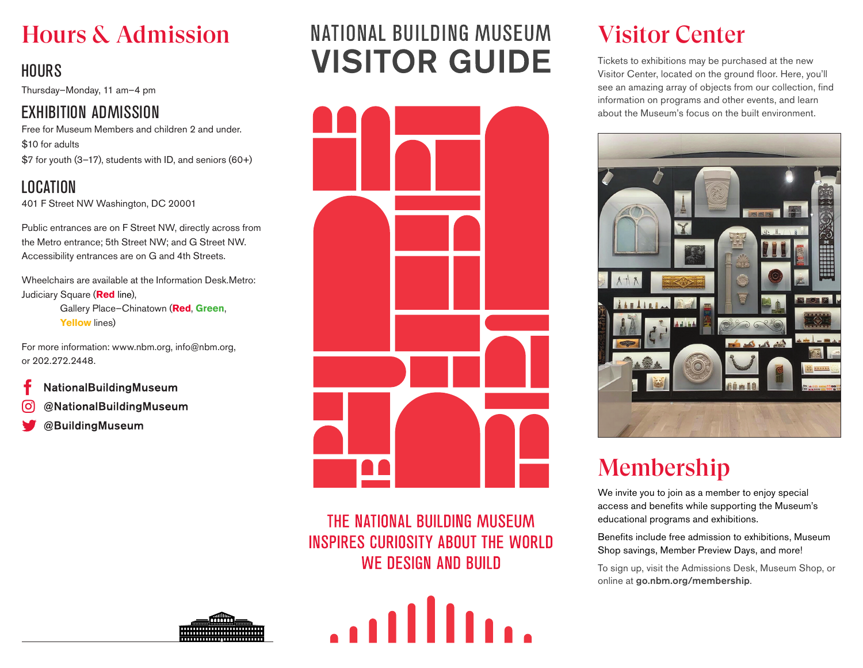## Hours & Admission

### **HOURS**

Thursday–Monday, 11 am–4 pm

### EXHIBITION ADMISSION

Free for Museum Members and children 2 and under. \$10 for adults \$7 for youth (3–17), students with ID, and seniors (60+)

LOCATION 401 F Street NW Washington, DC 20001

Public entrances are on F Street NW, directly across from the Metro entrance; 5th Street NW; and G Street NW. Accessibility entrances are on G and 4th Streets.

Wheelchairs are available at the Information Desk.Metro: Judiciary Square (**Red** line), Gallery Place–Chinatown (**Red**, **Green**, **Yellow** lines)

For more information: www.nbm.org, info@nbm.org, or 202.272.2448.

- NationalBuildingMuseum
- @NationalBuildingMuseum
- @BuildingMuseum

# NATIONAL BUILDING MUSEUM **VISITOR GUIDE**



THE NATIONAL BUILDING MUSEUM **INSPIRES CURIOSITY ABOUT THE WORLD WE DESIGN AND BUILD** 

 $\ldots$ 

## Visitor Center

Tickets to exhibitions may be purchased at the new Visitor Center, located on the ground floor. Here, you'll see an amazing array of objects from our collection, find information on programs and other events, and learn about the Museum's focus on the built environment.



# Membership

We invite you to join as a member to enjoy special access and benefits while supporting the Museum's educational programs and exhibitions.

Benefits include free admission to exhibitions, Museum Shop savings, Member Preview Days, and more!

To sign up, visit the Admissions Desk, Museum Shop, or online at go.nbm.org/membership.